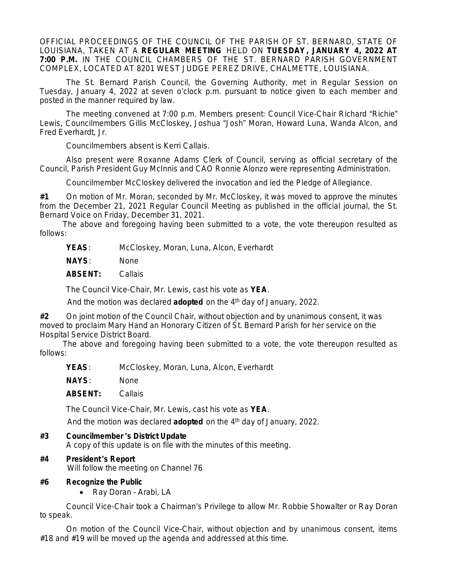OFFICIAL PROCEEDINGS OF THE COUNCIL OF THE PARISH OF ST. BERNARD, STATE OF LOUISIANA, TAKEN AT A **REGULAR MEETING** HELD ON **TUESDAY, JANUARY 4, 2022 AT 7:00 P.M.** IN THE COUNCIL CHAMBERS OF THE ST. BERNARD PARISH GOVERNMENT COMPLEX, LOCATED AT 8201 WEST JUDGE PEREZ DRIVE, CHALMETTE, LOUISIANA.

The St. Bernard Parish Council, the Governing Authority, met in Regular Session on Tuesday, January 4, 2022 at seven o'clock p.m. pursuant to notice given to each member and posted in the manner required by law.

The meeting convened at 7:00 p.m. Members present: Council Vice-Chair Richard "Richie" Lewis, Councilmembers Gillis McCloskey, Joshua "Josh" Moran, Howard Luna, Wanda Alcon, and Fred Everhardt, Jr.

Councilmembers absent is Kerri Callais.

Also present were Roxanne Adams Clerk of Council, serving as official secretary of the Council, Parish President Guy McInnis and CAO Ronnie Alonzo were representing Administration.

Councilmember McCloskey delivered the invocation and led the Pledge of Allegiance.

**#1** On motion of Mr. Moran, seconded by Mr. McCloskey, it was moved to approve the minutes from the December 21, 2021 Regular Council Meeting as published in the official journal, the St. Bernard Voice on Friday, December 31, 2021.

The above and foregoing having been submitted to a vote, the vote thereupon resulted as follows:

**YEAS**: McCloskey, Moran, Luna, Alcon, Everhardt

**NAYS**: None

**ABSENT:** Callais

The Council Vice-Chair, Mr. Lewis, cast his vote as **YEA**.

And the motion was declared **adopted** on the 4th day of January, 2022.

**#2** On joint motion of the Council Chair, without objection and by unanimous consent, it was moved to proclaim Mary Hand an Honorary Citizen of St. Bernard Parish for her service on the Hospital Service District Board.

The above and foregoing having been submitted to a vote, the vote thereupon resulted as follows:

**YEAS**: McCloskey, Moran, Luna, Alcon, Everhardt

**NAYS**: None

**ABSENT:** Callais

The Council Vice-Chair, Mr. Lewis, cast his vote as **YEA**.

And the motion was declared **adopted** on the 4<sup>th</sup> day of January, 2022.

#### **#3 Councilmember** '**s District Update**

A copy of this update is on file with the minutes of this meeting.

#### **#4 President** '**s Report**

Will follow the meeting on Channel 76

#### **#6 Recognize the Public**

• Ray Doran - Arabi, LA

Council Vice-Chair took a Chairman's Privilege to allow Mr. Robbie Showalter or Ray Doran to speak.

On motion of the Council Vice-Chair, without objection and by unanimous consent, items #18 and #19 will be moved up the agenda and addressed at this time.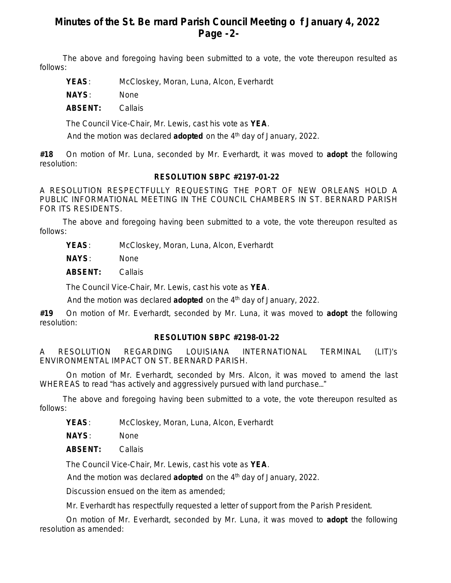# **Minutes of the St. Be rnard Parish Council Meeting o f January 4, 2022 Page -2-**

The above and foregoing having been submitted to a vote, the vote thereupon resulted as follows:

**YEAS**: McCloskey, Moran, Luna, Alcon, Everhardt

**NAYS**: None

**ABSENT:** Callais

The Council Vice-Chair, Mr. Lewis, cast his vote as **YEA**.

And the motion was declared **adopted** on the 4<sup>th</sup> day of January, 2022.

**#18** On motion of Mr. Luna, seconded by Mr. Everhardt, it was moved to **adopt** the following resolution:

## **RESOLUTION SBPC #2197-01-22**

A RESOLUTION RESPECTFULLY REQUESTING THE PORT OF NEW ORLEANS HOLD A PUBLIC INFORMATIONAL MEETING IN THE COUNCIL CHAMBERS IN ST. BERNARD PARISH FOR ITS RESIDENTS.

The above and foregoing having been submitted to a vote, the vote thereupon resulted as follows:

**YEAS**: McCloskey, Moran, Luna, Alcon, Everhardt

**NAYS**: None

**ABSENT:** Callais

The Council Vice-Chair, Mr. Lewis, cast his vote as **YEA**.

And the motion was declared **adopted** on the 4th day of January, 2022.

**#19** On motion of Mr. Everhardt, seconded by Mr. Luna, it was moved to **adopt** the following resolution:

## **RESOLUTION SBPC #2198-01-22**

A RESOLUTION REGARDING LOUISIANA INTERNATIONAL TERMINAL (LIT)'s ENVIRONMENTAL IMPACT ON ST. BERNARD PARISH.

On motion of Mr. Everhardt, seconded by Mrs. Alcon, it was moved to amend the last WHEREAS to read "has actively and aggressively pursued with land purchase…"

The above and foregoing having been submitted to a vote, the vote thereupon resulted as follows:

**YEAS**: McCloskey, Moran, Luna, Alcon, Everhardt

**NAYS**: None

**ABSENT:** Callais

The Council Vice-Chair, Mr. Lewis, cast his vote as **YEA**.

And the motion was declared **adopted** on the 4th day of January, 2022.

Discussion ensued on the item as amended;

Mr. Everhardt has respectfully requested a letter of support from the Parish President.

On motion of Mr. Everhardt, seconded by Mr. Luna, it was moved to **adopt** the following resolution as amended: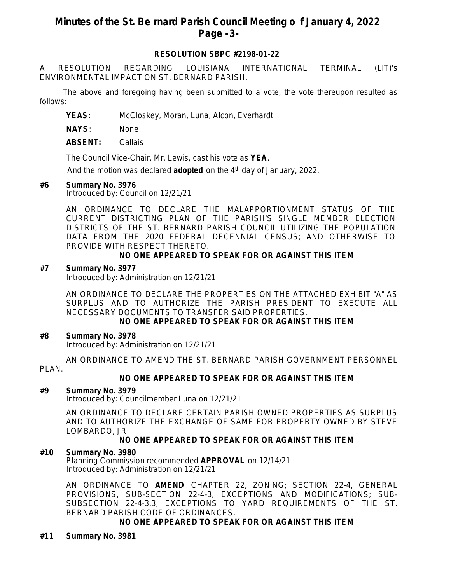## **Minutes of the St. Be rnard Parish Council Meeting o f January 4, 2022 Page -3-**

## **RESOLUTION SBPC #2198-01-22**

A RESOLUTION REGARDING LOUISIANA INTERNATIONAL TERMINAL (LIT)'s ENVIRONMENTAL IMPACT ON ST. BERNARD PARISH.

The above and foregoing having been submitted to a vote, the vote thereupon resulted as follows:

**YEAS**: McCloskey, Moran, Luna, Alcon, Everhardt

**NAYS**: None

**ABSENT:** Callais

The Council Vice-Chair, Mr. Lewis, cast his vote as **YEA**.

And the motion was declared **adopted** on the 4<sup>th</sup> day of January, 2022.

#### **#6 Summary No. 3976**

Introduced by: Council on 12/21/21

AN ORDINANCE TO DECLARE THE MALAPPORTIONMENT STATUS OF THE CURRENT DISTRICTING PLAN OF THE PARISH'S SINGLE MEMBER ELECTION DISTRICTS OF THE ST. BERNARD PARISH COUNCIL UTILIZING THE POPULATION DATA FROM THE 2020 FEDERAL DECENNIAL CENSUS; AND OTHERWISE TO PROVIDE WITH RESPECT THERETO.

#### **NO ONE APPEARED TO SPEAK FOR OR AGAINST THIS ITEM**

#### **#7 Summary No. 3977**

Introduced by: Administration on 12/21/21

AN ORDINANCE TO DECLARE THE PROPERTIES ON THE ATTACHED EXHIBIT "A" AS SURPLUS AND TO AUTHORIZE THE PARISH PRESIDENT TO EXECUTE ALL NECESSARY DOCUMENTS TO TRANSFER SAID PROPERTIES.

## **NO ONE APPEARED TO SPEAK FOR OR AGAINST THIS ITEM**

#### **#8 Summary No. 3978**

Introduced by: Administration on 12/21/21

AN ORDINANCE TO AMEND THE ST. BERNARD PARISH GOVERNMENT PERSONNEL

PLAN.

## **NO ONE APPEARED TO SPEAK FOR OR AGAINST THIS ITEM**

#### **#9 Summary No. 3979**

Introduced by: Councilmember Luna on 12/21/21

AN ORDINANCE TO DECLARE CERTAIN PARISH OWNED PROPERTIES AS SURPLUS AND TO AUTHORIZE THE EXCHANGE OF SAME FOR PROPERTY OWNED BY STEVE LOMBARDO, JR.

## **NO ONE APPEARED TO SPEAK FOR OR AGAINST THIS ITEM**

#### **#10 Summary No. 3980**

Planning Commission recommended **APPROVAL** on 12/14/21 Introduced by: Administration on 12/21/21

AN ORDINANCE TO **AMEND** CHAPTER 22, ZONING; SECTION 22-4, GENERAL PROVISIONS, SUB-SECTION 22-4-3, EXCEPTIONS AND MODIFICATIONS; SUB-SUBSECTION 22-4-3.3, EXCEPTIONS TO YARD REQUIREMENTS OF THE ST. BERNARD PARISH CODE OF ORDINANCES.

## **NO ONE APPEARED TO SPEAK FOR OR AGAINST THIS ITEM**

## **#11 Summary No. 3981**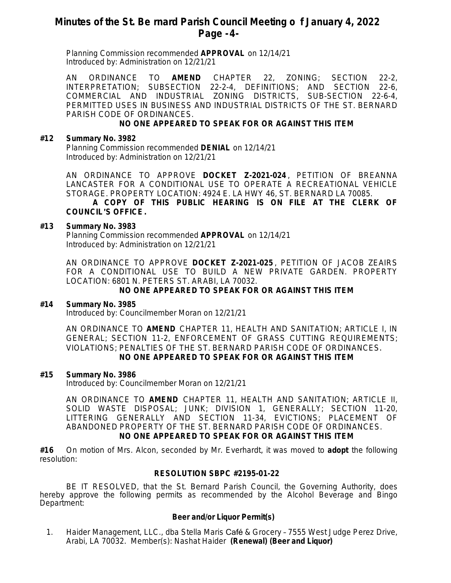## **Minutes of the St. Be rnard Parish Council Meeting o f January 4, 2022 Page -4-**

Planning Commission recommended **APPROVAL** on 12/14/21 Introduced by: Administration on 12/21/21

AN ORDINANCE TO **AMEND** CHAPTER 22, ZONING; SECTION 22-2, INTERPRETATION; SUBSECTION 22-2-4, DEFINITIONS; AND SECTION 22-6, COMMERCIAL AND INDUSTRIAL ZONING DISTRICTS, SUB-SECTION 22-6-4, PERMITTED USES IN BUSINESS AND INDUSTRIAL DISTRICTS OF THE ST. BERNARD PARISH CODE OF ORDINANCES.

#### **NO ONE APPEARED TO SPEAK FOR OR AGAINST THIS ITEM**

#### **#12 Summary No. 3982**

Planning Commission recommended **DENIAL** on 12/14/21 Introduced by: Administration on 12/21/21

AN ORDINANCE TO APPROVE **DOCKET Z-2021-024** , PETITION OF BREANNA LANCASTER FOR A CONDITIONAL USE TO OPERATE A RECREATIONAL VEHICLE STORAGE. PROPERTY LOCATION: 4924 E. LA HWY 46, ST. BERNARD LA 70085.

#### **A COPY OF THIS PUBLIC HEARING IS ON FILE AT THE CLERK OF COUNCIL**'**S OFFICE.**

#### **#13 Summary No. 3983**

Planning Commission recommended **APPROVAL** on 12/14/21 Introduced by: Administration on 12/21/21

AN ORDINANCE TO APPROVE **DOCKET Z-2021-025** , PETITION OF JACOB ZEAIRS FOR A CONDITIONAL USE TO BUILD A NEW PRIVATE GARDEN. PROPERTY LOCATION: 6801 N. PETERS ST. ARABI, LA 70032.

#### **NO ONE APPEARED TO SPEAK FOR OR AGAINST THIS ITEM**

#### **#14 Summary No. 3985**

Introduced by: Councilmember Moran on 12/21/21

AN ORDINANCE TO **AMEND** CHAPTER 11, HEALTH AND SANITATION; ARTICLE I, IN GENERAL; SECTION 11-2, ENFORCEMENT OF GRASS CUTTING REQUIREMENTS; VIOLATIONS; PENALTIES OF THE ST. BERNARD PARISH CODE OF ORDINANCES. **NO ONE APPEARED TO SPEAK FOR OR AGAINST THIS ITEM**

#### **#15 Summary No. 3986**

Introduced by: Councilmember Moran on 12/21/21

AN ORDINANCE TO **AMEND** CHAPTER 11, HEALTH AND SANITATION; ARTICLE II, SOLID WASTE DISPOSAL; JUNK; DIVISION 1, GENERALLY; SECTION 11-20, LITTERING GENERALLY AND SECTION 11-34, EVICTIONS; PLACEMENT OF ABANDONED PROPERTY OF THE ST. BERNARD PARISH CODE OF ORDINANCES. **NO ONE APPEARED TO SPEAK FOR OR AGAINST THIS ITEM**

**#16** On motion of Mrs. Alcon, seconded by Mr. Everhardt, it was moved to **adopt** the following resolution:

#### **RESOLUTION SBPC #2195-01-22**

BE IT RESOLVED, that the St. Bernard Parish Council, the Governing Authority, does hereby approve the following permits as recommended by the Alcohol Beverage and Bingo Department:

#### **Beer and/or Liquor Permit(s)**

1. Haider Management, LLC., dba Stella Maris Café & Grocery – 7555 West Judge Perez Drive, Arabi, LA 70032. Member(s): Nashat Haider **(Renewal) (Beer and Liquor)**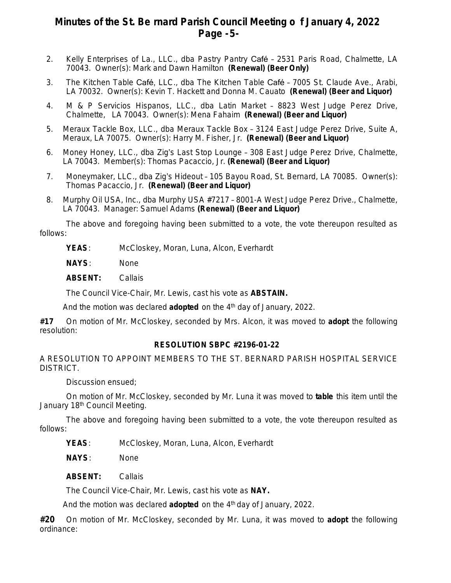## **Minutes of the St. Be rnard Parish Council Meeting o f January 4, 2022 Page -5-**

- 2. Kelly Enterprises of La., LLC., dba Pastry Pantry Café 2531 Paris Road, Chalmette, LA 70043. Owner(s): Mark and Dawn Hamilton **(Renewal) (Beer Only)**
- 3. The Kitchen Table Café, LLC., dba The Kitchen Table Café 7005 St. Claude Ave., Arabi, LA 70032. Owner(s): Kevin T. Hackett and Donna M. Cauato **(Renewal) (Beer and Liquor)**
- 4. M & P Servicios Hispanos, LLC., dba Latin Market 8823 West Judge Perez Drive, Chalmette, LA 70043. Owner(s): Mena Fahaim **(Renewal) (Beer and Liquor)**
- 5. Meraux Tackle Box, LLC., dba Meraux Tackle Box 3124 East Judge Perez Drive, Suite A, Meraux, LA 70075. Owner(s): Harry M. Fisher, Jr. **(Renewal) (Beer and Liquor)**
- 6. Money Honey, LLC., dba Zig's Last Stop Lounge 308 East Judge Perez Drive, Chalmette, LA 70043. Member(s): Thomas Pacaccio, Jr. **(Renewal) (Beer and Liquor)**
- 7. Moneymaker, LLC., dba Zig's Hideout 105 Bayou Road, St. Bernard, LA 70085. Owner(s): Thomas Pacaccio, Jr. **(Renewal) (Beer and Liquor)**
- 8. Murphy Oil USA, Inc., dba Murphy USA #7217 8001-A West Judge Perez Drive., Chalmette, LA 70043. Manager: Samuel Adams **(Renewal) (Beer and Liquor)**

The above and foregoing having been submitted to a vote, the vote thereupon resulted as follows:

- **YEAS**: McCloskey, Moran, Luna, Alcon, Everhardt
- **NAYS**: None
- **ABSENT:** Callais

The Council Vice-Chair, Mr. Lewis, cast his vote as **ABSTAIN.**

And the motion was declared **adopted** on the 4th day of January, 2022.

**#17** On motion of Mr. McCloskey, seconded by Mrs. Alcon, it was moved to **adopt** the following resolution:

## **RESOLUTION SBPC #2196-01-22**

A RESOLUTION TO APPOINT MEMBERS TO THE ST. BERNARD PARISH HOSPITAL SERVICE DISTRICT.

Discussion ensued;

On motion of Mr. McCloskey, seconded by Mr. Luna it was moved to **table** this item until the January 18<sup>th</sup> Council Meeting.

The above and foregoing having been submitted to a vote, the vote thereupon resulted as follows:

**YEAS**: McCloskey, Moran, Luna, Alcon, Everhardt

**NAYS**: None

**ABSENT:** Callais

The Council Vice-Chair, Mr. Lewis, cast his vote as **NAY.**

And the motion was declared **adopted** on the 4<sup>th</sup> day of January, 2022.

**#20** On motion of Mr. McCloskey, seconded by Mr. Luna, it was moved to **adopt** the following ordinance: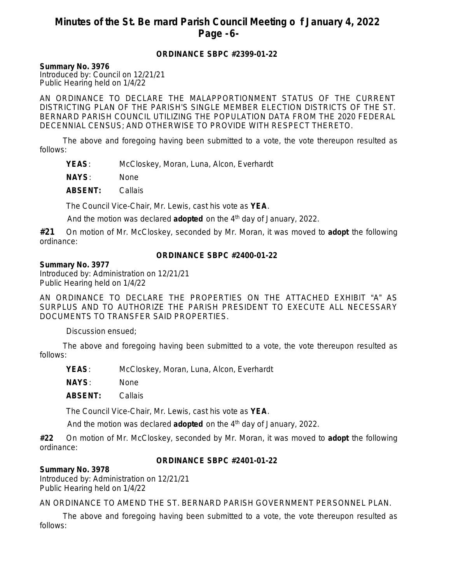# **Minutes of the St. Be rnard Parish Council Meeting o f January 4, 2022 Page -6-**

#### **ORDINANCE SBPC #2399-01-22**

**Summary No. 3976**

Introduced by: Council on 12/21/21 Public Hearing held on 1/4/22

AN ORDINANCE TO DECLARE THE MALAPPORTIONMENT STATUS OF THE CURRENT DISTRICTING PLAN OF THE PARISH'S SINGLE MEMBER ELECTION DISTRICTS OF THE ST. BERNARD PARISH COUNCIL UTILIZING THE POPULATION DATA FROM THE 2020 FEDERAL DECENNIAL CENSUS; AND OTHERWISE TO PROVIDE WITH RESPECT THERETO.

The above and foregoing having been submitted to a vote, the vote thereupon resulted as follows:

**YEAS**: McCloskey, Moran, Luna, Alcon, Everhardt

**NAYS**: None

**ABSENT:** Callais

The Council Vice-Chair, Mr. Lewis, cast his vote as **YEA**.

And the motion was declared **adopted** on the 4<sup>th</sup> day of January, 2022.

**#21** On motion of Mr. McCloskey, seconded by Mr. Moran, it was moved to **adopt** the following ordinance:

## **ORDINANCE SBPC #2400-01-22**

#### **Summary No. 3977**

Introduced by: Administration on 12/21/21 Public Hearing held on 1/4/22

AN ORDINANCE TO DECLARE THE PROPERTIES ON THE ATTACHED EXHIBIT "A" AS SURPLUS AND TO AUTHORIZE THE PARISH PRESIDENT TO EXECUTE ALL NECESSARY DOCUMENTS TO TRANSFER SAID PROPERTIES.

Discussion ensued;

The above and foregoing having been submitted to a vote, the vote thereupon resulted as follows:

**YEAS**: McCloskey, Moran, Luna, Alcon, Everhardt

**NAYS**: None

**ABSENT:** Callais

The Council Vice-Chair, Mr. Lewis, cast his vote as **YEA**.

And the motion was declared **adopted** on the 4<sup>th</sup> day of January, 2022.

**#22** On motion of Mr. McCloskey, seconded by Mr. Moran, it was moved to **adopt** the following ordinance:

## **ORDINANCE SBPC #2401-01-22**

## **Summary No. 3978**

Introduced by: Administration on 12/21/21 Public Hearing held on 1/4/22

AN ORDINANCE TO AMEND THE ST. BERNARD PARISH GOVERNMENT PERSONNEL PLAN.

The above and foregoing having been submitted to a vote, the vote thereupon resulted as follows: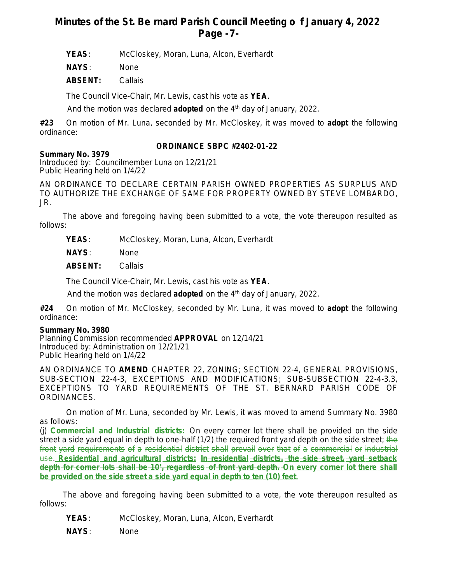# **Minutes of the St. Be rnard Parish Council Meeting o f January 4, 2022 Page -7-**

**YEAS**: McCloskey, Moran, Luna, Alcon, Everhardt

**NAYS**: None

**ABSENT:** Callais

The Council Vice-Chair, Mr. Lewis, cast his vote as **YEA**.

And the motion was declared **adopted** on the 4<sup>th</sup> day of January, 2022.

**#23** On motion of Mr. Luna, seconded by Mr. McCloskey, it was moved to **adopt** the following ordinance:

## **ORDINANCE SBPC #2402-01-22**

## **Summary No. 3979**

Introduced by: Councilmember Luna on 12/21/21 Public Hearing held on 1/4/22

AN ORDINANCE TO DECLARE CERTAIN PARISH OWNED PROPERTIES AS SURPLUS AND TO AUTHORIZE THE EXCHANGE OF SAME FOR PROPERTY OWNED BY STEVE LOMBARDO, JR.

The above and foregoing having been submitted to a vote, the vote thereupon resulted as follows:

- **YEAS**: McCloskey, Moran, Luna, Alcon, Everhardt
- **NAYS**: None
- **ABSENT:** Callais

The Council Vice-Chair, Mr. Lewis, cast his vote as **YEA**.

And the motion was declared **adopted** on the 4th day of January, 2022.

**#24** On motion of Mr. McCloskey, seconded by Mr. Luna, it was moved to **adopt** the following ordinance:

## **Summary No. 3980**

Planning Commission recommended **APPROVAL** on 12/14/21 Introduced by: Administration on 12/21/21 Public Hearing held on 1/4/22

AN ORDINANCE TO **AMEND** CHAPTER 22, ZONING; SECTION 22-4, GENERAL PROVISIONS, SUB-SECTION 22-4-3, EXCEPTIONS AND MODIFICATIONS; SUB-SUBSECTION 22-4-3.3, EXCEPTIONS TO YARD REQUIREMENTS OF THE ST. BERNARD PARISH CODE OF ORDINANCES.

On motion of Mr. Luna, seconded by Mr. Lewis, it was moved to amend Summary No. 3980 as follows:

(j) **Commercial and Industrial districts:** On every corner lot there shall be provided on the side street a side yard equal in depth to one-half (1/2) the required front yard depth on the side street; the front yard requirements of a residential district shall prevail over that of a commercial or industrial use. **Residential and agricultural districts:** *In residential districts, the side street, yard setback depth for corner lots shall be 10*'*, regardless of front yard depth.* **On every corner lot there shall be provided on the side street a side yard equal in depth to ten (10) feet.**

The above and foregoing having been submitted to a vote, the vote thereupon resulted as follows:

- **YEAS**: McCloskey, Moran, Luna, Alcon, Everhardt
- **NAYS**: None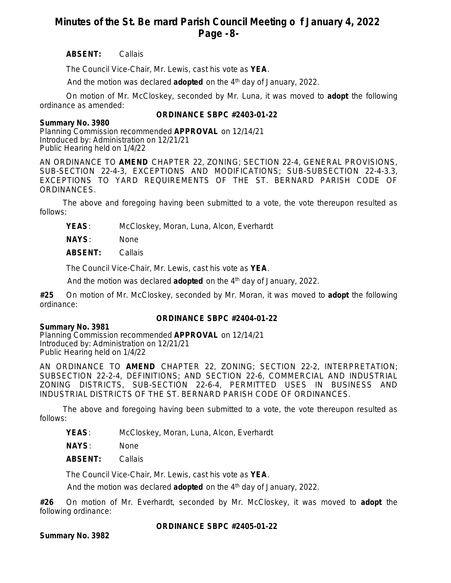# **Minutes of the St. Be rnard Parish Council Meeting o f January 4, 2022 Page -8-**

## **ABSENT:** Callais

The Council Vice-Chair, Mr. Lewis, cast his vote as **YEA**.

And the motion was declared **adopted** on the 4<sup>th</sup> day of January, 2022.

On motion of Mr. McCloskey, seconded by Mr. Luna, it was moved to **adopt** the following ordinance as amended:

## **ORDINANCE SBPC #2403-01-22**

#### **Summary No. 3980**

Planning Commission recommended **APPROVAL** on 12/14/21 Introduced by: Administration on 12/21/21 Public Hearing held on 1/4/22

AN ORDINANCE TO **AMEND** CHAPTER 22, ZONING; SECTION 22-4, GENERAL PROVISIONS, SUB-SECTION 22-4-3, EXCEPTIONS AND MODIFICATIONS; SUB-SUBSECTION 22-4-3.3, EXCEPTIONS TO YARD REQUIREMENTS OF THE ST. BERNARD PARISH CODE OF ORDINANCES.

The above and foregoing having been submitted to a vote, the vote thereupon resulted as follows:

**YEAS**: McCloskey, Moran, Luna, Alcon, Everhardt

**NAYS**: None

**ABSENT:** Callais

The Council Vice-Chair, Mr. Lewis, cast his vote as **YEA**.

And the motion was declared **adopted** on the 4<sup>th</sup> day of January, 2022.

**#25** On motion of Mr. McCloskey, seconded by Mr. Moran, it was moved to **adopt** the following ordinance:

## **ORDINANCE SBPC #2404-01-22**

**Summary No. 3981** Planning Commission recommended **APPROVAL** on 12/14/21 Introduced by: Administration on 12/21/21 Public Hearing held on 1/4/22

AN ORDINANCE TO **AMEND** CHAPTER 22, ZONING; SECTION 22-2, INTERPRETATION; SUBSECTION 22-2-4, DEFINITIONS; AND SECTION 22-6, COMMERCIAL AND INDUSTRIAL ZONING DISTRICTS, SUB-SECTION 22-6-4, PERMITTED USES IN BUSINESS AND INDUSTRIAL DISTRICTS OF THE ST. BERNARD PARISH CODE OF ORDINANCES.

The above and foregoing having been submitted to a vote, the vote thereupon resulted as follows:

**YEAS**: McCloskey, Moran, Luna, Alcon, Everhardt

**NAYS**: None

**ABSENT:** Callais

The Council Vice-Chair, Mr. Lewis, cast his vote as **YEA**.

And the motion was declared **adopted** on the 4<sup>th</sup> day of January, 2022.

**#26** On motion of Mr. Everhardt, seconded by Mr. McCloskey, it was moved to **adopt** the following ordinance:

**ORDINANCE SBPC #2405-01-22**

**Summary No. 3982**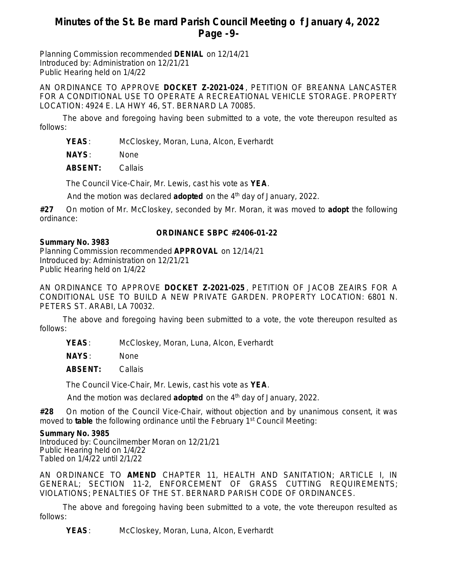## **Minutes of the St. Be rnard Parish Council Meeting o f January 4, 2022 Page -9-**

Planning Commission recommended **DENIAL** on 12/14/21 Introduced by: Administration on 12/21/21 Public Hearing held on 1/4/22

AN ORDINANCE TO APPROVE **DOCKET Z-2021-024** , PETITION OF BREANNA LANCASTER FOR A CONDITIONAL USE TO OPERATE A RECREATIONAL VEHICLE STORAGE. PROPERTY LOCATION: 4924 E. LA HWY 46, ST. BERNARD LA 70085.

The above and foregoing having been submitted to a vote, the vote thereupon resulted as follows:

**YEAS**: McCloskey, Moran, Luna, Alcon, Everhardt

**NAYS**: None

**ABSENT:** Callais

The Council Vice-Chair, Mr. Lewis, cast his vote as **YEA**.

And the motion was declared **adopted** on the 4<sup>th</sup> day of January, 2022.

**#27** On motion of Mr. McCloskey, seconded by Mr. Moran, it was moved to **adopt** the following ordinance:

## **ORDINANCE SBPC #2406-01-22**

#### **Summary No. 3983**

Planning Commission recommended **APPROVAL** on 12/14/21 Introduced by: Administration on 12/21/21 Public Hearing held on 1/4/22

AN ORDINANCE TO APPROVE **DOCKET Z-2021-025** , PETITION OF JACOB ZEAIRS FOR A CONDITIONAL USE TO BUILD A NEW PRIVATE GARDEN. PROPERTY LOCATION: 6801 N. PETERS ST. ARABI, LA 70032.

The above and foregoing having been submitted to a vote, the vote thereupon resulted as follows:

**YEAS**: McCloskey, Moran, Luna, Alcon, Everhardt

**NAYS**: None

**ABSENT:** Callais

The Council Vice-Chair, Mr. Lewis, cast his vote as **YEA**.

And the motion was declared **adopted** on the 4<sup>th</sup> day of January, 2022.

**#28** On motion of the Council Vice-Chair, without objection and by unanimous consent, it was moved to **table** the following ordinance until the February 1<sup>st</sup> Council Meeting:

#### **Summary No. 3985**

Introduced by: Councilmember Moran on 12/21/21 Public Hearing held on 1/4/22 Tabled on 1/4/22 until 2/1/22

AN ORDINANCE TO **AMEND** CHAPTER 11, HEALTH AND SANITATION; ARTICLE I, IN GENERAL; SECTION 11-2, ENFORCEMENT OF GRASS CUTTING REQUIREMENTS; VIOLATIONS; PENALTIES OF THE ST. BERNARD PARISH CODE OF ORDINANCES.

The above and foregoing having been submitted to a vote, the vote thereupon resulted as follows:

**YEAS**: McCloskey, Moran, Luna, Alcon, Everhardt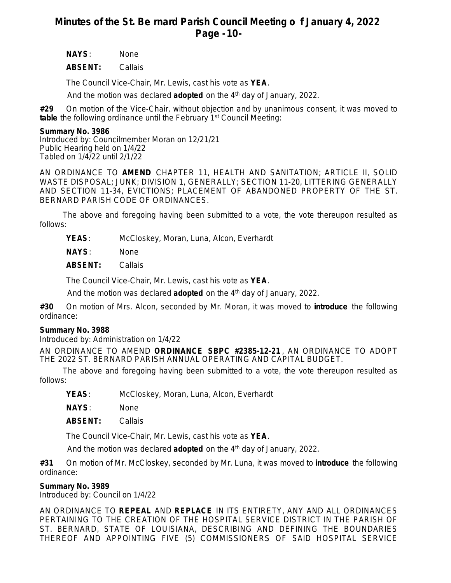# **Minutes of the St. Be rnard Parish Council Meeting o f January 4, 2022 Page -10-**

**NAYS**: None

**ABSENT:** Callais

The Council Vice-Chair, Mr. Lewis, cast his vote as **YEA**.

And the motion was declared **adopted** on the 4<sup>th</sup> day of January, 2022.

**#29** On motion of the Vice-Chair, without objection and by unanimous consent, it was moved to **table** the following ordinance until the February 1st Council Meeting:

#### **Summary No. 3986**

Introduced by: Councilmember Moran on 12/21/21 Public Hearing held on 1/4/22 Tabled on 1/4/22 until 2/1/22

AN ORDINANCE TO **AMEND** CHAPTER 11, HEALTH AND SANITATION; ARTICLE II, SOLID WASTE DISPOSAL; JUNK; DIVISION 1, GENERALLY; SECTION 11-20, LITTERING GENERALLY AND SECTION 11-34, EVICTIONS; PLACEMENT OF ABANDONED PROPERTY OF THE ST. BERNARD PARISH CODE OF ORDINANCES.

The above and foregoing having been submitted to a vote, the vote thereupon resulted as follows:

**YEAS**: McCloskey, Moran, Luna, Alcon, Everhardt

**NAYS**: None

**ABSENT:** Callais

The Council Vice-Chair, Mr. Lewis, cast his vote as **YEA**.

And the motion was declared **adopted** on the 4th day of January, 2022.

**#30** On motion of Mrs. Alcon, seconded by Mr. Moran, it was moved to **introduce** the following ordinance:

## **Summary No. 3988**

Introduced by: Administration on 1/4/22

AN ORDINANCE TO AMEND **ORDINANCE SBPC #2385-12-21** , AN ORDINANCE TO ADOPT THE 2022 ST. BERNARD PARISH ANNUAL OPERATING AND CAPITAL BUDGET.

The above and foregoing having been submitted to a vote, the vote thereupon resulted as follows:

**YEAS**: McCloskey, Moran, Luna, Alcon, Everhardt

**NAYS**: None

**ABSENT:** Callais

The Council Vice-Chair, Mr. Lewis, cast his vote as **YEA**.

And the motion was declared **adopted** on the 4<sup>th</sup> day of January, 2022.

**#31** On motion of Mr. McCloskey, seconded by Mr. Luna, it was moved to **introduce** the following ordinance:

## **Summary No. 3989**

Introduced by: Council on 1/4/22

AN ORDINANCE TO **REPEAL** AND **REPLACE** IN ITS ENTIRETY, ANY AND ALL ORDINANCES PERTAINING TO THE CREATION OF THE HOSPITAL SERVICE DISTRICT IN THE PARISH OF ST. BERNARD, STATE OF LOUISIANA, DESCRIBING AND DEFINING THE BOUNDARIES THEREOF AND APPOINTING FIVE (5) COMMISSIONERS OF SAID HOSPITAL SERVICE